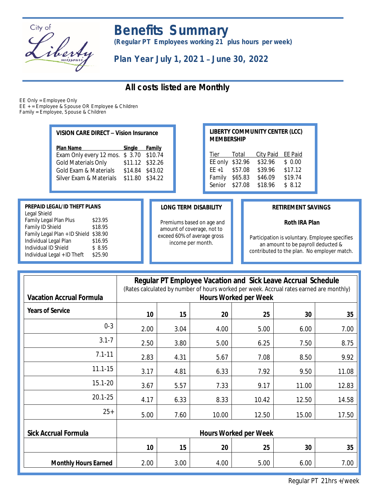

# *Benefits Summary*

*(Regular PT Employees working 21 plus hours per week)*

*Plan Year July 1, 202 1* – *June 30, 2022*

# *All costs listed are Monthly*

*EE Only = Employee Only EE + = Employee & Spouse OR Employee & Children*

*Family = Employee, Spouse & Children*

| VISION CARE DIRECT - Vision Insurance |  |  |  |
|---------------------------------------|--|--|--|
|---------------------------------------|--|--|--|

| Single Family   |  |
|-----------------|--|
| $$3.70$ \$10.74 |  |
| \$11.12 \$32.26 |  |
| \$14.84 \$43.02 |  |
| \$11.80 \$34.22 |  |
|                 |  |

#### **LIBERTY COMMUNITY CENTER (LCC) MEMBERSHIP**

| Tier     | <u>Total</u> | <b>City Paid</b> | <b>EE Paid</b> |
|----------|--------------|------------------|----------------|
| EE only  | \$32.96      | \$32.96          | \$0.00         |
| $EE + 1$ | \$57.08      | \$39.96          | \$17.12        |
| Family   | \$65.83      | \$46.09          | \$19.74        |
| Senior   | \$27.08      | \$18.96          | \$8.12         |

### **PREPAID LEGAL/ID THEFT PLANS**

| Legal Shield                  |         |
|-------------------------------|---------|
| Family Legal Plan Plus        | \$23.95 |
| Family ID Shield              | \$18.95 |
| Family Legal Plan + ID Shield | \$38.90 |
| Individual Legal Plan         | \$16.95 |
| Individual ID Shield          | \$8.95  |
| Individual Legal + ID Theft   | \$25.90 |
|                               |         |

#### **LONG TERM DISABILITY**

Premiums based on age and amount of coverage, not to exceed 60% of average gross income per month.

### **RETIREMENT SAVINGS**

## **Roth IRA Plan**

Participation is voluntary. Employee specifies an amount to be payroll deducted & contributed to the plan. No employer match.

| <b>Vacation Accrual Formula</b> | <b>Regular PT Employee Vacation and Sick Leave Accrual Schedule</b><br>(Rates calculated by number of hours worked per week. Accrual rates earned are monthly)<br><b>Hours Worked per Week</b> |      |       |       |       |       |
|---------------------------------|------------------------------------------------------------------------------------------------------------------------------------------------------------------------------------------------|------|-------|-------|-------|-------|
| <b>Years of Service</b>         | 10                                                                                                                                                                                             | 15   | 20    | 25    | 30    | 35    |
| $0 - 3$                         | 2.00                                                                                                                                                                                           | 3.04 | 4.00  | 5.00  | 6.00  | 7.00  |
| $3.1 - 7$                       | 2.50                                                                                                                                                                                           | 3.80 | 5.00  | 6.25  | 7.50  | 8.75  |
| $7.1 - 11$                      | 2.83                                                                                                                                                                                           | 4.31 | 5.67  | 7.08  | 8.50  | 9.92  |
| $11.1 - 15$                     | 3.17                                                                                                                                                                                           | 4.81 | 6.33  | 7.92  | 9.50  | 11.08 |
| $15.1 - 20$                     | 3.67                                                                                                                                                                                           | 5.57 | 7.33  | 9.17  | 11.00 | 12.83 |
| $20.1 - 25$                     | 4.17                                                                                                                                                                                           | 6.33 | 8.33  | 10.42 | 12.50 | 14.58 |
| $25+$                           | 5.00                                                                                                                                                                                           | 7.60 | 10.00 | 12.50 | 15.00 | 17.50 |
| <b>Sick Accrual Formula</b>     | <b>Hours Worked per Week</b>                                                                                                                                                                   |      |       |       |       |       |
|                                 | 10                                                                                                                                                                                             | 15   | 20    | 25    | 30    | 35    |
| <b>Monthly Hours Earned</b>     | 2.00                                                                                                                                                                                           | 3.00 | 4.00  | 5.00  | 6.00  | 7.00  |